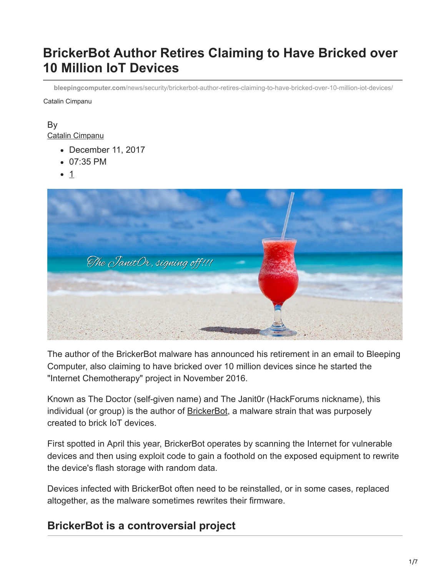# **BrickerBot Author Retires Claiming to Have Bricked over 10 Million IoT Devices**

**bleepingcomputer.com**[/news/security/brickerbot-author-retires-claiming-to-have-bricked-over-10-million-iot-devices/](https://www.bleepingcomputer.com/news/security/brickerbot-author-retires-claiming-to-have-bricked-over-10-million-iot-devices/)

Catalin Cimpanu

#### By [Catalin Cimpanu](https://www.bleepingcomputer.com/author/catalin-cimpanu/)

- December 11, 2017
- 07:35 PM
- $1$



The author of the BrickerBot malware has announced his retirement in an email to Bleeping Computer, also claiming to have bricked over 10 million devices since he started the "Internet Chemotherapy" project in November 2016.

Known as The Doctor (self-given name) and The Janit0r (HackForums nickname), this individual (or group) is the author of **BrickerBot**, a malware strain that was purposely created to brick IoT devices.

First spotted in April this year, BrickerBot operates by scanning the Internet for vulnerable devices and then using exploit code to gain a foothold on the exposed equipment to rewrite the device's flash storage with random data.

Devices infected with BrickerBot often need to be reinstalled, or in some cases, replaced altogether, as the malware sometimes rewrites their firmware.

# **BrickerBot is a controversial project**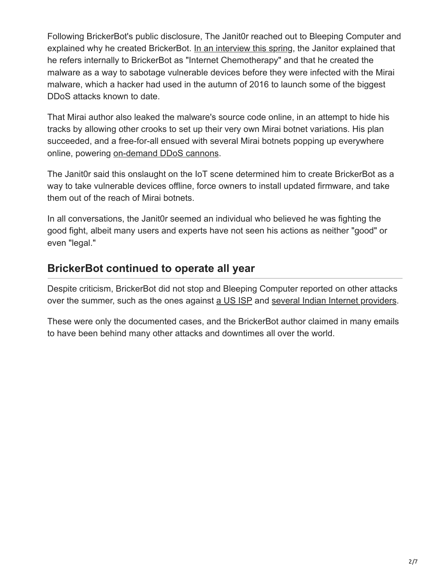Following BrickerBot's public disclosure, The Janit0r reached out to Bleeping Computer and explained why he created BrickerBot. [In an interview this spring,](https://www.bleepingcomputer.com/news/security/brickerbot-author-claims-he-bricked-two-million-devices/) the Janitor explained that he refers internally to BrickerBot as "Internet Chemotherapy" and that he created the malware as a way to sabotage vulnerable devices before they were infected with the Mirai malware, which a hacker had used in the autumn of 2016 to launch some of the biggest DDoS attacks known to date.

That Mirai author also leaked the malware's source code online, in an attempt to hide his tracks by allowing other crooks to set up their very own Mirai botnet variations. His plan succeeded, and a free-for-all ensued with several Mirai botnets popping up everywhere online, powering [on-demand DDoS cannons.](https://www.bleepingcomputer.com/news/security/you-can-now-rent-a-mirai-botnet-of-400-000-bots/)

The Janit0r said this onslaught on the IoT scene determined him to create BrickerBot as a way to take vulnerable devices offline, force owners to install updated firmware, and take them out of the reach of Mirai botnets.

In all conversations, the Janit0r seemed an individual who believed he was fighting the good fight, albeit many users and experts have not seen his actions as neither "good" or even "legal."

# **BrickerBot continued to operate all year**

Despite criticism, BrickerBot did not stop and Bleeping Computer reported on other attacks over the summer, such as the ones against [a US ISP](https://www.bleepingcomputer.com/news/security/us-isp-goes-down-as-two-malware-families-go-to-war-over-its-modems/) and [several Indian Internet providers](https://www.bleepingcomputer.com/news/security/brickerbot-dev-claims-cyber-attack-that-affected-over-60-000-indian-modems/).

These were only the documented cases, and the BrickerBot author claimed in many emails to have been behind many other attacks and downtimes all over the world.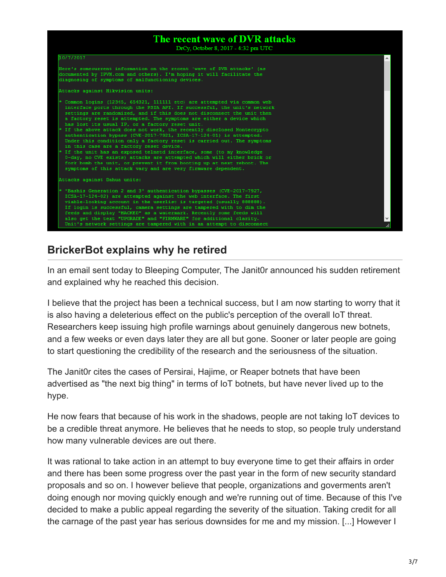

#### **BrickerBot explains why he retired**

In an email sent today to Bleeping Computer, The Janit0r announced his sudden retirement and explained why he reached this decision.

I believe that the project has been a technical success, but I am now starting to worry that it is also having a deleterious effect on the public's perception of the overall IoT threat. Researchers keep issuing high profile warnings about genuinely dangerous new botnets, and a few weeks or even days later they are all but gone. Sooner or later people are going to start questioning the credibility of the research and the seriousness of the situation.

The Janit0r cites the cases of Persirai, Hajime, or Reaper botnets that have been advertised as "the next big thing" in terms of IoT botnets, but have never lived up to the hype.

He now fears that because of his work in the shadows, people are not taking IoT devices to be a credible threat anymore. He believes that he needs to stop, so people truly understand how many vulnerable devices are out there.

It was rational to take action in an attempt to buy everyone time to get their affairs in order and there has been some progress over the past year in the form of new security standard proposals and so on. I however believe that people, organizations and goverments aren't doing enough nor moving quickly enough and we're running out of time. Because of this I've decided to make a public appeal regarding the severity of the situation. Taking credit for all the carnage of the past year has serious downsides for me and my mission. [...] However I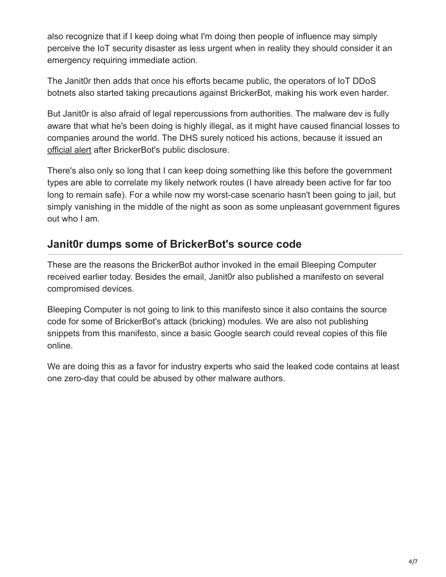also recognize that if I keep doing what I'm doing then people of influence may simply perceive the IoT security disaster as less urgent when in reality they should consider it an emergency requiring immediate action.

The Janit0r then adds that once his efforts became public, the operators of IoT DDoS botnets also started taking precautions against BrickerBot, making his work even harder.

But Janit0r is also afraid of legal repercussions from authorities. The malware dev is fully aware that what he's been doing is highly illegal, as it might have caused financial losses to companies around the world. The DHS surely noticed his actions, because it issued an [official alert](https://ics-cert.us-cert.gov/alerts/ICS-ALERT-17-102-01A) after BrickerBot's public disclosure.

There's also only so long that I can keep doing something like this before the government types are able to correlate my likely network routes (I have already been active for far too long to remain safe). For a while now my worst-case scenario hasn't been going to jail, but simply vanishing in the middle of the night as soon as some unpleasant government figures out who I am.

### **Janit0r dumps some of BrickerBot's source code**

These are the reasons the BrickerBot author invoked in the email Bleeping Computer received earlier today. Besides the email, Janit0r also published a manifesto on several compromised devices.

Bleeping Computer is not going to link to this manifesto since it also contains the source code for some of BrickerBot's attack (bricking) modules. We are also not publishing snippets from this manifesto, since a basic Google search could reveal copies of this file online.

We are doing this as a favor for industry experts who said the leaked code contains at least one zero-day that could be abused by other malware authors.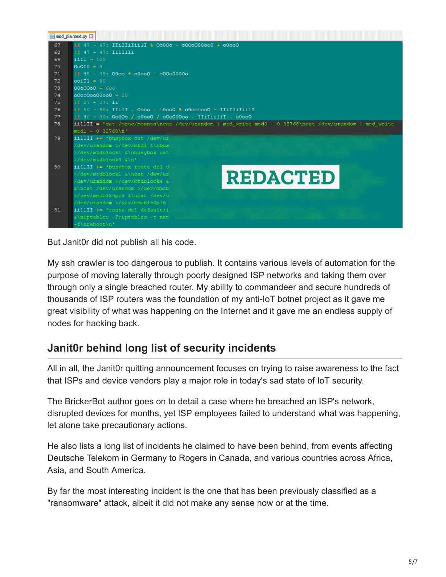

But Janit0r did not publish all his code.

My ssh crawler is too dangerous to publish. It contains various levels of automation for the purpose of moving laterally through poorly designed ISP networks and taking them over through only a single breached router. My ability to commandeer and secure hundreds of thousands of ISP routers was the foundation of my anti-IoT botnet project as it gave me great visibility of what was happening on the Internet and it gave me an endless supply of nodes for hacking back.

### **Janit0r behind long list of security incidents**

All in all, the Janit0r quitting announcement focuses on trying to raise awareness to the fact that ISPs and device vendors play a major role in today's sad state of IoT security.

The BrickerBot author goes on to detail a case where he breached an ISP's network, disrupted devices for months, yet ISP employees failed to understand what was happening, let alone take precautionary actions.

He also lists a long list of incidents he claimed to have been behind, from events affecting Deutsche Telekom in Germany to Rogers in Canada, and various countries across Africa, Asia, and South America.

By far the most interesting incident is the one that has been previously classified as a "ransomware" attack, albeit it did not make any sense now or at the time.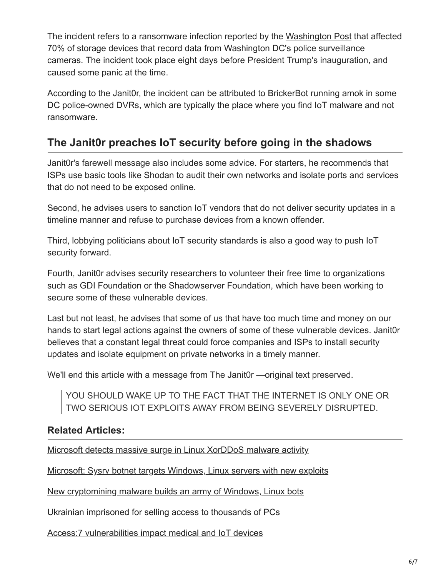The incident refers to a ransomware infection reported by the [Washington Post](https://www.washingtonpost.com/local/public-safety/hackers-hit-dc-police-closed-circuit-camera-network-city-officials-disclose/2017/01/27/d285a4a4-e4f5-11e6-ba11-63c4b4fb5a63_story.html?utm_term=.cb15323dcff6) that affected 70% of storage devices that record data from Washington DC's police surveillance cameras. The incident took place eight days before President Trump's inauguration, and caused some panic at the time.

According to the Janit0r, the incident can be attributed to BrickerBot running amok in some DC police-owned DVRs, which are typically the place where you find IoT malware and not ransomware.

# **The Janit0r preaches IoT security before going in the shadows**

Janit0r's farewell message also includes some advice. For starters, he recommends that ISPs use basic tools like Shodan to audit their own networks and isolate ports and services that do not need to be exposed online.

Second, he advises users to sanction IoT vendors that do not deliver security updates in a timeline manner and refuse to purchase devices from a known offender.

Third, lobbying politicians about IoT security standards is also a good way to push IoT security forward.

Fourth, Janit0r advises security researchers to volunteer their free time to organizations such as GDI Foundation or the Shadowserver Foundation, which have been working to secure some of these vulnerable devices.

Last but not least, he advises that some of us that have too much time and money on our hands to start legal actions against the owners of some of these vulnerable devices. Janit0r believes that a constant legal threat could force companies and ISPs to install security updates and isolate equipment on private networks in a timely manner.

We'll end this article with a message from The Janit0r —original text preserved.

YOU SHOULD WAKE UP TO THE FACT THAT THE INTERNET IS ONLY ONE OR TWO SERIOUS IOT EXPLOITS AWAY FROM BEING SEVERELY DISRUPTED.

#### **Related Articles:**

[Microsoft detects massive surge in Linux XorDDoS malware activity](https://www.bleepingcomputer.com/news/security/microsoft-detects-massive-surge-in-linux-xorddos-malware-activity/)

[Microsoft: Sysrv botnet targets Windows, Linux servers with new exploits](https://www.bleepingcomputer.com/news/security/microsoft-sysrv-botnet-targets-windows-linux-servers-with-new-exploits/)

[New cryptomining malware builds an army of Windows, Linux bots](https://www.bleepingcomputer.com/news/security/new-cryptomining-malware-builds-an-army-of-windows-linux-bots/)

[Ukrainian imprisoned for selling access to thousands of PCs](https://www.bleepingcomputer.com/news/security/ukrainian-imprisoned-for-selling-access-to-thousands-of-pcs/)

[Access:7 vulnerabilities impact medical and IoT devices](https://www.bleepingcomputer.com/news/security/access-7-vulnerabilities-impact-medical-and-iot-devices/)